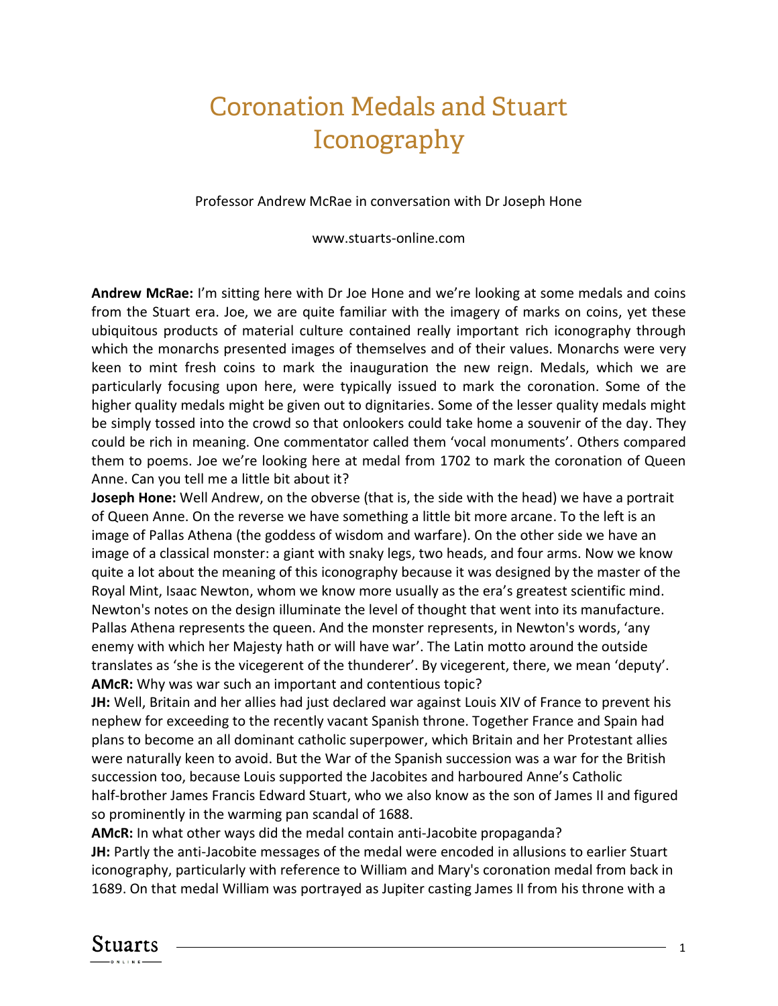## Coronation Medals and Stuart Iconography

Professor Andrew McRae in conversation with Dr Joseph Hone

www.stuarts-online.com

**Andrew McRae:** I'm sitting here with Dr Joe Hone and we're looking at some medals and coins from the Stuart era. Joe, we are quite familiar with the imagery of marks on coins, yet these ubiquitous products of material culture contained really important rich iconography through which the monarchs presented images of themselves and of their values. Monarchs were very keen to mint fresh coins to mark the inauguration the new reign. Medals, which we are particularly focusing upon here, were typically issued to mark the coronation. Some of the higher quality medals might be given out to dignitaries. Some of the lesser quality medals might be simply tossed into the crowd so that onlookers could take home a souvenir of the day. They could be rich in meaning. One commentator called them 'vocal monuments'. Others compared them to poems. Joe we're looking here at medal from 1702 to mark the coronation of Queen Anne. Can you tell me a little bit about it?

**Joseph Hone:** Well Andrew, on the obverse (that is, the side with the head) we have a portrait of Queen Anne. On the reverse we have something a little bit more arcane. To the left is an image of Pallas Athena (the goddess of wisdom and warfare). On the other side we have an image of a classical monster: a giant with snaky legs, two heads, and four arms. Now we know quite a lot about the meaning of this iconography because it was designed by the master of the Royal Mint, Isaac Newton, whom we know more usually as the era's greatest scientific mind. Newton's notes on the design illuminate the level of thought that went into its manufacture. Pallas Athena represents the queen. And the monster represents, in Newton's words, 'any enemy with which her Majesty hath or will have war'. The Latin motto around the outside translates as 'she is the vicegerent of the thunderer'. By vicegerent, there, we mean 'deputy'. **AMcR:** Why was war such an important and contentious topic?

**JH:** Well, Britain and her allies had just declared war against Louis XIV of France to prevent his nephew for exceeding to the recently vacant Spanish throne. Together France and Spain had plans to become an all dominant catholic superpower, which Britain and her Protestant allies were naturally keen to avoid. But the War of the Spanish succession was a war for the British succession too, because Louis supported the Jacobites and harboured Anne's Catholic half-brother James Francis Edward Stuart, who we also know as the son of James II and figured so prominently in the warming pan scandal of 1688.

**AMcR:** In what other ways did the medal contain anti-Jacobite propaganda?

**JH:** Partly the anti-Jacobite messages of the medal were encoded in allusions to earlier Stuart iconography, particularly with reference to William and Mary's coronation medal from back in 1689. On that medal William was portrayed as Jupiter casting James II from his throne with a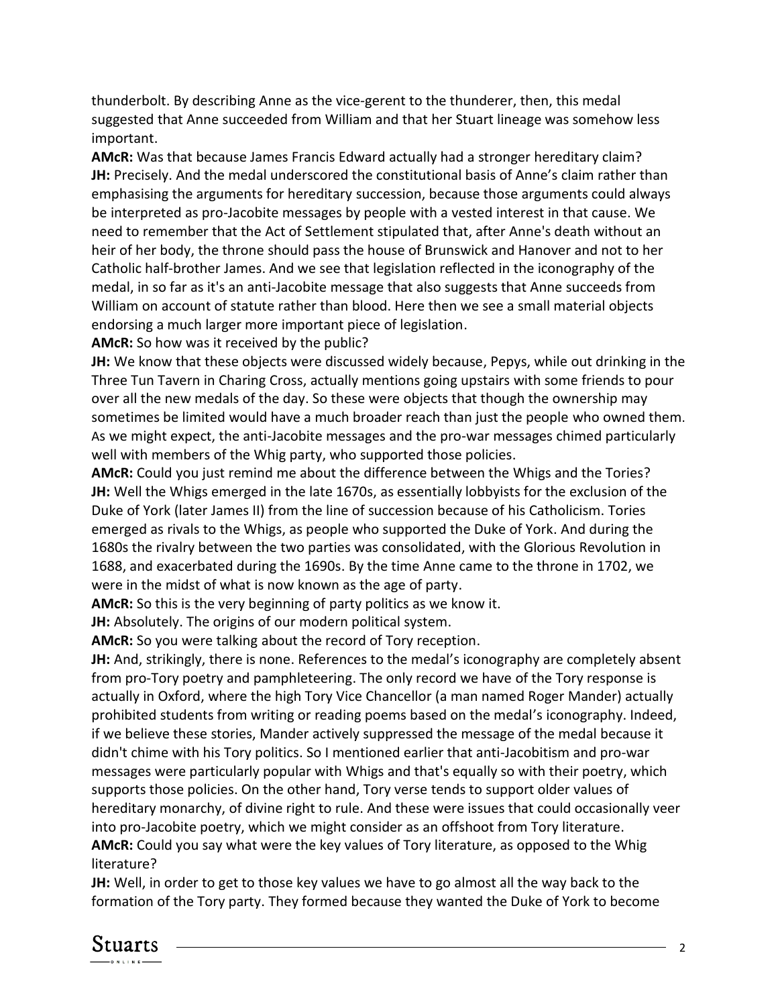thunderbolt. By describing Anne as the vice-gerent to the thunderer, then, this medal suggested that Anne succeeded from William and that her Stuart lineage was somehow less important.

**AMcR:** Was that because James Francis Edward actually had a stronger hereditary claim? **JH:** Precisely. And the medal underscored the constitutional basis of Anne's claim rather than emphasising the arguments for hereditary succession, because those arguments could always be interpreted as pro-Jacobite messages by people with a vested interest in that cause. We need to remember that the Act of Settlement stipulated that, after Anne's death without an heir of her body, the throne should pass the house of Brunswick and Hanover and not to her Catholic half-brother James. And we see that legislation reflected in the iconography of the medal, in so far as it's an anti-Jacobite message that also suggests that Anne succeeds from William on account of statute rather than blood. Here then we see a small material objects endorsing a much larger more important piece of legislation.

**AMcR:** So how was it received by the public?

**JH:** We know that these objects were discussed widely because, Pepys, while out drinking in the Three Tun Tavern in Charing Cross, actually mentions going upstairs with some friends to pour over all the new medals of the day. So these were objects that though the ownership may sometimes be limited would have a much broader reach than just the people who owned them. As we might expect, the anti-Jacobite messages and the pro-war messages chimed particularly well with members of the Whig party, who supported those policies.

**AMcR:** Could you just remind me about the difference between the Whigs and the Tories? **JH:** Well the Whigs emerged in the late 1670s, as essentially lobbyists for the exclusion of the Duke of York (later James II) from the line of succession because of his Catholicism. Tories emerged as rivals to the Whigs, as people who supported the Duke of York. And during the 1680s the rivalry between the two parties was consolidated, with the Glorious Revolution in 1688, and exacerbated during the 1690s. By the time Anne came to the throne in 1702, we were in the midst of what is now known as the age of party.

**AMcR:** So this is the very beginning of party politics as we know it.

**JH:** Absolutely. The origins of our modern political system.

**AMcR:** So you were talking about the record of Tory reception.

**JH:** And, strikingly, there is none. References to the medal's iconography are completely absent from pro-Tory poetry and pamphleteering. The only record we have of the Tory response is actually in Oxford, where the high Tory Vice Chancellor (a man named Roger Mander) actually prohibited students from writing or reading poems based on the medal's iconography. Indeed, if we believe these stories, Mander actively suppressed the message of the medal because it didn't chime with his Tory politics. So I mentioned earlier that anti-Jacobitism and pro-war messages were particularly popular with Whigs and that's equally so with their poetry, which supports those policies. On the other hand, Tory verse tends to support older values of hereditary monarchy, of divine right to rule. And these were issues that could occasionally veer into pro-Jacobite poetry, which we might consider as an offshoot from Tory literature.

**AMcR:** Could you say what were the key values of Tory literature, as opposed to the Whig literature?

**JH:** Well, in order to get to those key values we have to go almost all the way back to the formation of the Tory party. They formed because they wanted the Duke of York to become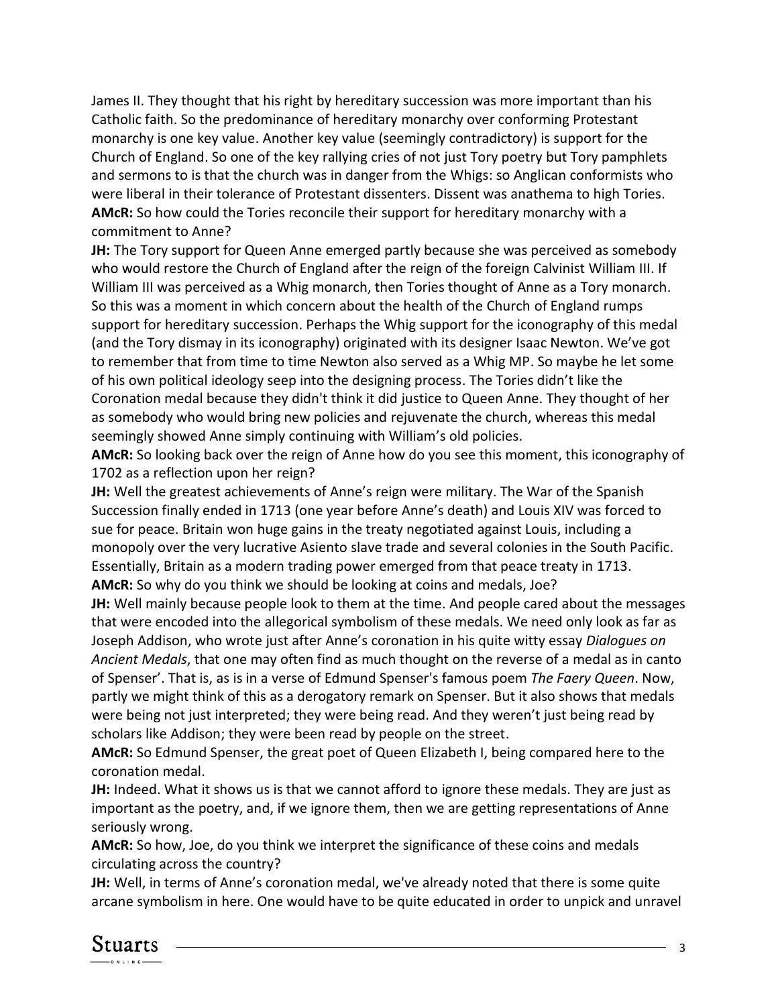James II. They thought that his right by hereditary succession was more important than his Catholic faith. So the predominance of hereditary monarchy over conforming Protestant monarchy is one key value. Another key value (seemingly contradictory) is support for the Church of England. So one of the key rallying cries of not just Tory poetry but Tory pamphlets and sermons to is that the church was in danger from the Whigs: so Anglican conformists who were liberal in their tolerance of Protestant dissenters. Dissent was anathema to high Tories. **AMcR:** So how could the Tories reconcile their support for hereditary monarchy with a commitment to Anne?

**JH:** The Tory support for Queen Anne emerged partly because she was perceived as somebody who would restore the Church of England after the reign of the foreign Calvinist William III. If William III was perceived as a Whig monarch, then Tories thought of Anne as a Tory monarch. So this was a moment in which concern about the health of the Church of England rumps support for hereditary succession. Perhaps the Whig support for the iconography of this medal (and the Tory dismay in its iconography) originated with its designer Isaac Newton. We've got to remember that from time to time Newton also served as a Whig MP. So maybe he let some of his own political ideology seep into the designing process. The Tories didn't like the Coronation medal because they didn't think it did justice to Queen Anne. They thought of her as somebody who would bring new policies and rejuvenate the church, whereas this medal seemingly showed Anne simply continuing with William's old policies.

**AMcR:** So looking back over the reign of Anne how do you see this moment, this iconography of 1702 as a reflection upon her reign?

**JH:** Well the greatest achievements of Anne's reign were military. The War of the Spanish Succession finally ended in 1713 (one year before Anne's death) and Louis XIV was forced to sue for peace. Britain won huge gains in the treaty negotiated against Louis, including a monopoly over the very lucrative Asiento slave trade and several colonies in the South Pacific. Essentially, Britain as a modern trading power emerged from that peace treaty in 1713. **AMcR:** So why do you think we should be looking at coins and medals, Joe?

**JH:** Well mainly because people look to them at the time. And people cared about the messages that were encoded into the allegorical symbolism of these medals. We need only look as far as Joseph Addison, who wrote just after Anne's coronation in his quite witty essay *Dialogues on Ancient Medals*, that one may often find as much thought on the reverse of a medal as in canto of Spenser'. That is, as is in a verse of Edmund Spenser's famous poem *The Faery Queen*. Now, partly we might think of this as a derogatory remark on Spenser. But it also shows that medals were being not just interpreted; they were being read. And they weren't just being read by scholars like Addison; they were been read by people on the street.

**AMcR:** So Edmund Spenser, the great poet of Queen Elizabeth I, being compared here to the coronation medal.

**JH:** Indeed. What it shows us is that we cannot afford to ignore these medals. They are just as important as the poetry, and, if we ignore them, then we are getting representations of Anne seriously wrong.

**AMcR:** So how, Joe, do you think we interpret the significance of these coins and medals circulating across the country?

**JH:** Well, in terms of Anne's coronation medal, we've already noted that there is some quite arcane symbolism in here. One would have to be quite educated in order to unpick and unravel